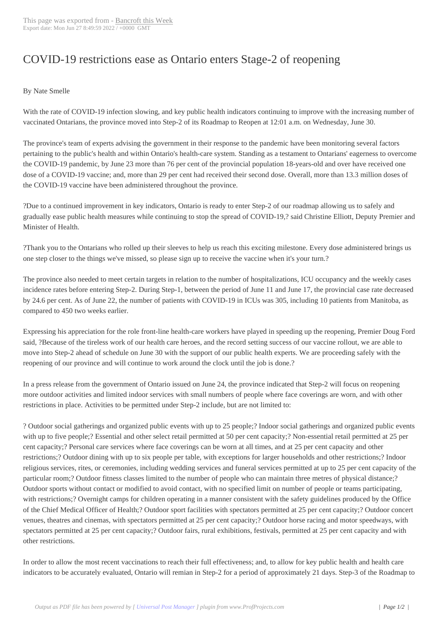## COVID-19 restrict[ions ease as O](http://www.bancroftthisweek.com/?p=11692)ntario enters Stage-2 of reopening

## By Nate Smelle

With the rate of COVID-19 infection slowing, and key public health indicators continuing to improve with the increasing number of vaccinated Ontarians, the province moved into Step-2 of its Roadmap to Reopen at 12:01 a.m. on Wednesday, June 30.

The province's team of experts advising the government in their response to the pandemic have been monitoring several factors pertaining to the public's health and within Ontario's health-care system. Standing as a testament to Ontarians' eagerness to overcome the COVID-19 pandemic, by June 23 more than 76 per cent of the provincial population 18-years-old and over have received one dose of a COVID-19 vaccine; and, more than 29 per cent had received their second dose. Overall, more than 13.3 million doses of the COVID-19 vaccine have been administered throughout the province.

?Due to a continued improvement in key indicators, Ontario is ready to enter Step-2 of our roadmap allowing us to safely and gradually ease public health measures while continuing to stop the spread of COVID-19,? said Christine Elliott, Deputy Premier and Minister of Health.

?Thank you to the Ontarians who rolled up their sleeves to help us reach this exciting milestone. Every dose administered brings us one step closer to the things we've missed, so please sign up to receive the vaccine when it's your turn.?

The province also needed to meet certain targets in relation to the number of hospitalizations, ICU occupancy and the weekly cases incidence rates before entering Step-2. During Step-1, between the period of June 11 and June 17, the provincial case rate decreased by 24.6 per cent. As of June 22, the number of patients with COVID-19 in ICUs was 305, including 10 patients from Manitoba, as compared to 450 two weeks earlier.

Expressing his appreciation for the role front-line health-care workers have played in speeding up the reopening, Premier Doug Ford said, ?Because of the tireless work of our health care heroes, and the record setting success of our vaccine rollout, we are able to move into Step-2 ahead of schedule on June 30 with the support of our public health experts. We are proceeding safely with the reopening of our province and will continue to work around the clock until the job is done.?

In a press release from the government of Ontario issued on June 24, the province indicated that Step-2 will focus on reopening more outdoor activities and limited indoor services with small numbers of people where face coverings are worn, and with other restrictions in place. Activities to be permitted under Step-2 include, but are not limited to:

? Outdoor social gatherings and organized public events with up to 25 people;? Indoor social gatherings and organized public events with up to five people;? Essential and other select retail permitted at 50 per cent capacity;? Non-essential retail permitted at 25 per cent capacity;? Personal care services where face coverings can be worn at all times, and at 25 per cent capacity and other restrictions;? Outdoor dining with up to six people per table, with exceptions for larger households and other restrictions;? Indoor religious services, rites, or ceremonies, including wedding services and funeral services permitted at up to 25 per cent capacity of the particular room;? Outdoor fitness classes limited to the number of people who can maintain three metres of physical distance;? Outdoor sports without contact or modified to avoid contact, with no specified limit on number of people or teams participating, with restrictions;? Overnight camps for children operating in a manner consistent with the safety guidelines produced by the Office of the Chief Medical Officer of Health;? Outdoor sport facilities with spectators permitted at 25 per cent capacity;? Outdoor concert venues, theatres and cinemas, with spectators permitted at 25 per cent capacity;? Outdoor horse racing and motor speedways, with spectators permitted at 25 per cent capacity;? Outdoor fairs, rural exhibitions, festivals, permitted at 25 per cent capacity and with other restrictions.

In order to allow the most recent vaccinations to reach their full effectiveness; and, to allow for key public health and health care indicators to be accurately evaluated, Ontario will remian in Step-2 for a period of approximately 21 days. Step-3 of the Roadmap to